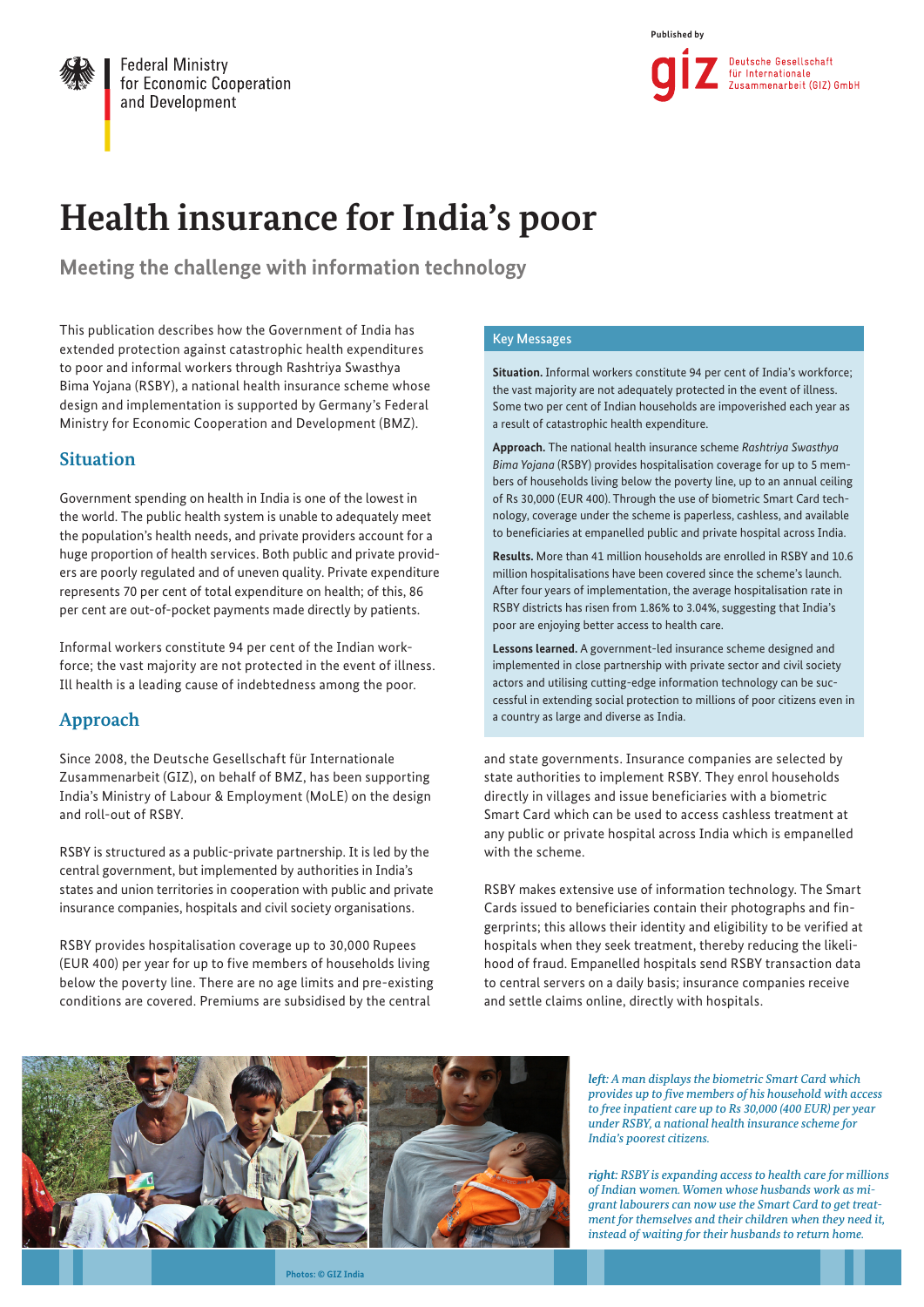

**Federal Ministry** for Economic Cooperation and Development



# **Health insurance for India's poor**

**Meeting the challenge with information technology**

This publication describes how the Government of India has extended protection against catastrophic health expenditures to poor and informal workers through Rashtriya Swasthya Bima Yojana (RSBY), a national health insurance scheme whose design and implementation is supported by Germany's Federal Ministry for Economic Cooperation and Development (BMZ).

# **Situation**

Government spending on health in India is one of the lowest in the world. The public health system is unable to adequately meet the population's health needs, and private providers account for a huge proportion of health services. Both public and private providers are poorly regulated and of uneven quality. Private expenditure represents 70 per cent of total expenditure on health; of this, 86 per cent are out-of-pocket payments made directly by patients.

Informal workers constitute 94 per cent of the Indian workforce; the vast majority are not protected in the event of illness. Ill health is a leading cause of indebtedness among the poor.

# **Approach**

Since 2008, the Deutsche Gesellschaft für Internationale Zusammenarbeit (GIZ), on behalf of BMZ, has been supporting India's Ministry of Labour & Employment (MoLE) on the design and roll-out of RSBY.

RSBY is structured as a public-private partnership. It is led by the central government, but implemented by authorities in India's states and union territories in cooperation with public and private insurance companies, hospitals and civil society organisations.

RSBY provides hospitalisation coverage up to 30,000 Rupees (EUR 400) per year for up to five members of households living below the poverty line. There are no age limits and pre-existing conditions are covered. Premiums are subsidised by the central

## Key Messages

**Situation.** Informal workers constitute 94 per cent of India's workforce; the vast majority are not adequately protected in the event of illness. Some two per cent of Indian households are impoverished each year as a result of catastrophic health expenditure.

**Approach.** The national health insurance scheme *Rashtriya Swasthya Bima Yojana* (RSBY) provides hospitalisation coverage for up to 5 members of households living below the poverty line, up to an annual ceiling of Rs 30,000 (EUR 400). Through the use of biometric Smart Card technology, coverage under the scheme is paperless, cashless, and available to beneficiaries at empanelled public and private hospital across India.

**Results.** More than 41 million households are enrolled in RSBY and 10.6 million hospitalisations have been covered since the scheme's launch. After four years of implementation, the average hospitalisation rate in RSBY districts has risen from 1.86% to 3.04%, suggesting that India's poor are enjoying better access to health care.

**Lessons learned.** A government-led insurance scheme designed and implemented in close partnership with private sector and civil society actors and utilising cutting-edge information technology can be successful in extending social protection to millions of poor citizens even in a country as large and diverse as India.

and state governments. Insurance companies are selected by state authorities to implement RSBY. They enrol households directly in villages and issue beneficiaries with a biometric Smart Card which can be used to access cashless treatment at any public or private hospital across India which is empanelled with the scheme.

RSBY makes extensive use of information technology. The Smart Cards issued to beneficiaries contain their photographs and fingerprints; this allows their identity and eligibility to be verified at hospitals when they seek treatment, thereby reducing the likelihood of fraud. Empanelled hospitals send RSBY transaction data to central servers on a daily basis; insurance companies receive and settle claims online, directly with hospitals.



*left: A man displays the biometric Smart Card which provides up to five members of his household with access to free inpatient care up to Rs 30,000 (400 EUR) per year under RSBY, a national health insurance scheme for India's poorest citizens.* 

*right: RSBY is expanding access to health care for millions of Indian women. Women whose husbands work as migrant labourers can now use the Smart Card to get treatment for themselves and their children when they need it, instead of waiting for their husbands to return home.* 

**Photos: © GIZ India**